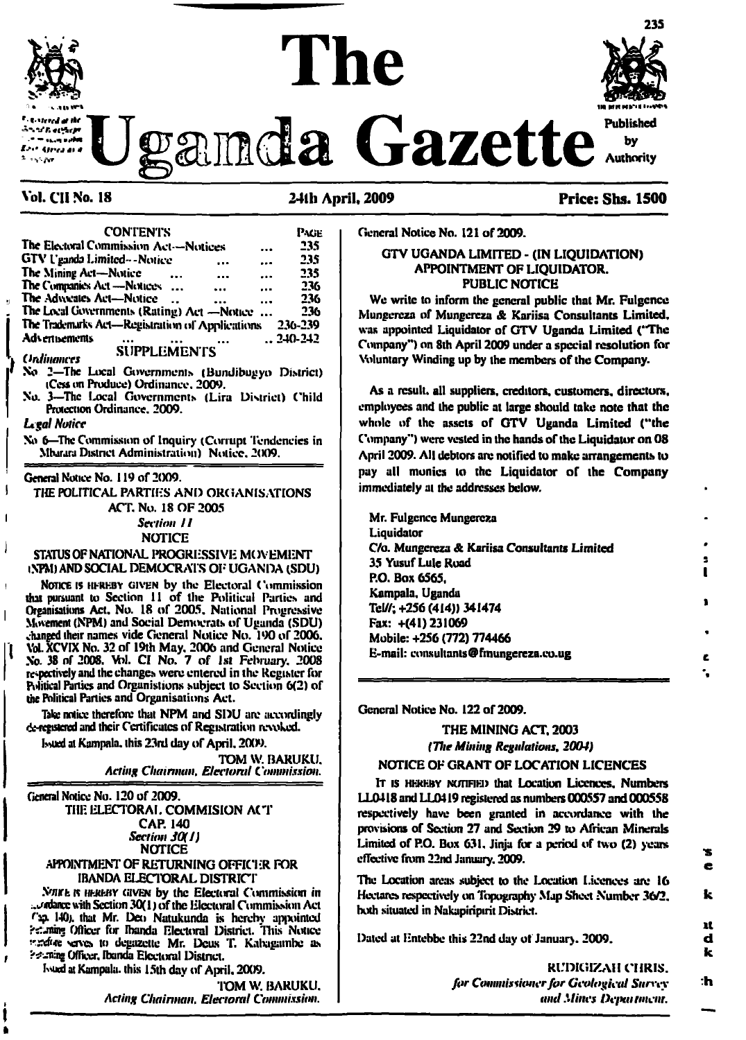# $\bf The$  $\mathcal{L} = \mathcal{L} \mathcal{L}$  is a set of the set of the set of the set of the set of the set of the set of the set of the set of the set of the set of the set of the set of the set of the set of the set of the set of the set of

**235**

**Weamda** Gazette

#### **Vol. CI1 No. 18 241h April. 2009 Price: Shs. 1500**

**CONTENTS** Page **The Electoral Commission Act—Notices ... 235**<br>**GTV Uganda Limited—Notice ... ... 235 GTV Uganda Limited --Noiice ... ... 235 The Mining Act—Notice ... ... ... 235 The Companies Act—Notices ... ... ... 236 The Advocates Act—Notice ... ... 236 The Local Governments (Rating) Act —Notice ... 236**<br>**The Trademarks Act—Registration of Applications 236-239 The Trademarks Act—Registration ol' Applications 236-239 Advertisements ... ... ... ..240-242** *Unlink* **SUPPLEMENTS No 2—The Local Governments (Bundibugyo District) iCcss on Produce) Ordinance. 2009. No. 3—The Ixxral Governments (Lira District) Child Protection Ordinance. 2009.** *Legal Notice* **No 6—The Commission of Inquiry (Corrupt Tendencies in Mbarara District Administration) Notice. 2(X)9.**

#### **General Notice No. 119 of 2009.**

i

 $\overline{1}$ 

 $\mathbf{I}$ 

I

**I**

I

**a**

**THE POLITICAL PARTIES AND ORGANISATIONS ACT. No. 18 OF 2005**

*Seciioii 11*

**NOTICE**

**STATUS OF NATIONAL PROGRESSIVE MOVEMENT iNPM) AND SOCIAL DEMOCRAT'S OF UGANDA (SDU)**

Notice is hfreby given **by the Electoral Commission tint pursuant to Section <sup>11</sup> of the Political Parties and Organisations Act. No. 18 of 2005. National Progressive Movement (NPM) and Social Democrats of Uganda (SDU) changed their names vide General Notice No. 190 of 2006. Vol. XCVIX No. 32 of 19th May. 2006 and General Notice No. 38 of 2008. Wl. CI No. 7 of 1st February. 2008 respectively and the changes were entered in the Register for Political Parties and Organislions subject to Section 6(2) of the Political Parties and Organisations Act.**

**Take notice therefore that NPM and SDU are accordingly de-Kgmered and their Certificates of Registration revoked.**

**Issued at Kampala, this 23rd day ofApril. 2009.**

**TOM W. BARUKU.** *Acting Chairman, Electoral Commission.*

**General Notice No. 120 of 2009.**

**THE ELECTORAL COMMIS1ON ACT CAP. 140** *Section 30(1)* **(NOTICE APPOINTMENT OF RETURNING OFFICER FOR**

# **IBANDA EI-ECTORAL DISTRICT**

**.Vwrt** k umcehy given **by the Electoral Commission in ;.l/«dancc with Section 30(1) ofthe Electoral Commission Act r\*p- 140;. that Mr. Deo Natukunda is hereby ajipointed ?<-niin«! Officer fen \* Ibanda Electoral District. This Notice serves to degazelte Mr. Deus T. Kalxigambe as f Officer. Ibanda Electoral District.**

**Lund at Kampala, this 15th day ofAj^ril. 2009.**

**TOM W. BARUKU.** *, Acting Chairman, Electoral Commission.* **<sup>I</sup> —-------------------------------------**

**General Notice No. 121 of 2009.**

#### **GTV UGANDA LIMITED - (IN LIQUIDATION) APPOINTMENT OF LIQUIDATOR. PUBLIC NOTICE**

**We write to inform the general public that Mr. Fulgcnce Mungcrcza of Mungcrcza & Kariisa Consultants Limited, was appointed Liquidator of GTV Uganda Limited ('The Company") on 8th April 2009 under a special resolution for Voluntary Winding up by the members ofthe Company.**

**As a result, all suppliers, creditors, customers, directors, employees and the public at large should take note that the whole of the assets of GTV Uganda Limited ('The Company") were vested in the hands ofthe Liquidator on 08 April 2009. All debtors arc notified to make arrangements to pay all monies to the Liquidator of the Company immediately at the addresses below.**

**Mr. Fulgcnce Mungereza Liquidator C/o. Mungcrcza & Kariisa Consultants Limited 35 YusufLule Road P.O. Box 6565. Kampala, Uganda Tel//; +256 (414)) 341474 Fax: +(41)231069 Mobile: +256 (772) 774466 E-mail: consultants@finungereza.eo.ug**

**General Notice No. 122 of 2009.**

### **THE MINING ACT. 2003** *(The Mining Regulations, 2004)*

#### **NOTICE OF GRANT OF LOCATION LICENCES**

It is hereby **NcmFiEi) that Location Licences. Numbers LL0418 and LUM19 registered as numbers 000557 and 000558 respectively have been granted in accordance with the provisions of Section 27 and Section 29 to African Minerals Limited of P.O. Box 63L Jinja for a period of two (2) years effective from 22nd January. 2009.**

**The Location areas subject to the Location Licences arc 16 Hectares respectively on Topography Map Sheet Number 36/2. both situated in Nakapiripirit District.**

**Dated at Entebbe this 22nd day ot January. 2009.**

**RUDIGIZAH CHRIS.** *for Cotmniswmerfor Geological Snrecy* **-h** *ami Mines De/mnmcnr.*

*K*

*!T 0 .S*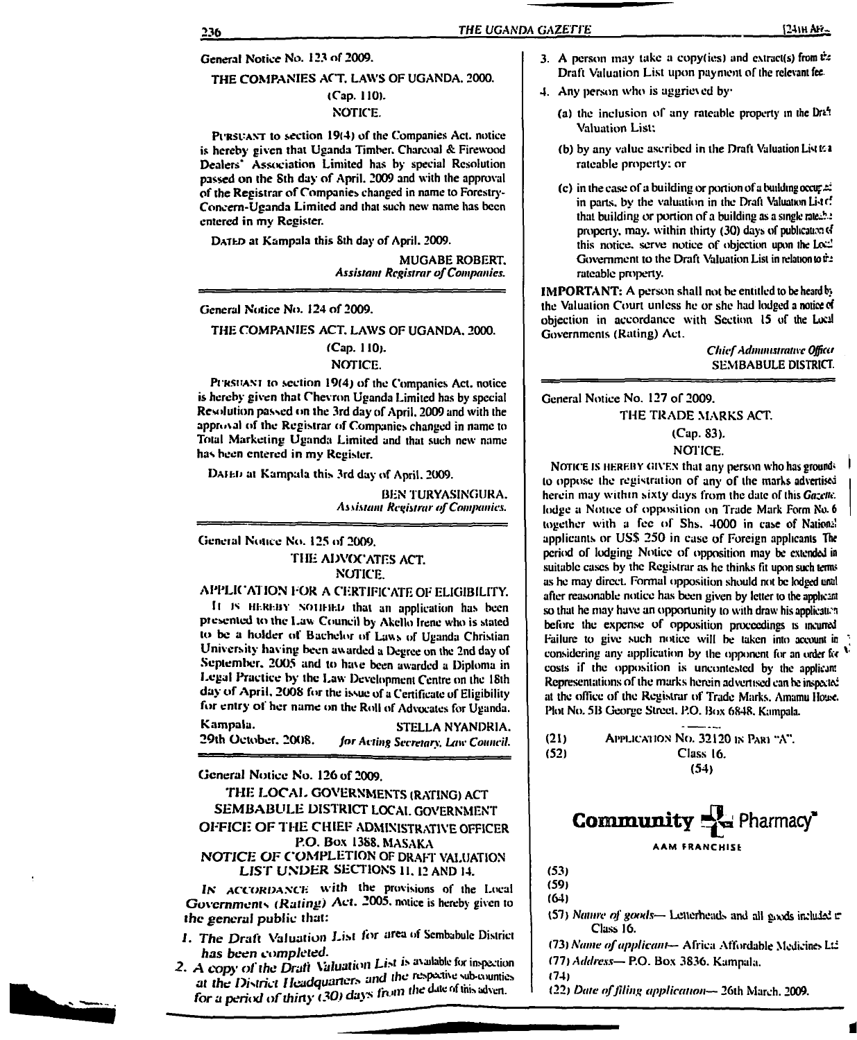#### **General Notice No. 123 nf 2009.**

#### **THE COMPANIES ACT, LAWS OF UGANDA. 2000.**

#### **(Cap. 110). NOTICE.**

Pursuant **to section 19(4) of the Companies Act. notice is hereby given that Uganda Timber. Charcoal & Firewood Dealers \* Association Limited has by special Resolution passed on the Sth day of April. 2009 and with the approval ofthe Registrar ofCompanies changed in name to Forestry-Concem-Uganda Limited and that such new name has been entered in my Register.**

Dated **at Kampala this Sth day of April. 2009.**

**MUGABE ROBERT.** *Assistant Registrar ofCompanies.*

**General Notice No. 124 of 2009.**

#### **THE COMPANIES ACT. LAWS OF UGANDA. 2000.**

# **(Cap. 110).**

**NOTICE.**

Pursuant **to section 19(4) of the Companies Act. notice is hereby given that Chevron Uganda Limited has by special Resolution passed on the 3rd day of/Xpril. 2009 and with the approval of the Registrar of Companies changed in name to Total Marketing Uganda Limited and that such new name has been entered in my Register.**

Daii-J<sup>j</sup> **at Kampala this 3rd day of April. 2009.**

**BEN TURYASINGURA.** *Assistant Registrar ofCompanies.*

#### **General Notice No. 125 of 2009. THE ADVOCATES ACT. NOTICE.**

#### **APPLICATION FOR A CERTIFICATE OF ELIGIBILITY.**

**Il is ntRi-in soiiHEb that an application has been ptesenicd to the Law Council by /Xkcllo Irene who is stated to be a holder of Bachelor of Laws of Uganda Christian University having been awarded a Degree on the 2nd day of September. 2005 and to have been awarded a Diploma in Legal Practice by the Law Development Centre on the 18th day of April. 2008 for the issue of <sup>a</sup> Certificate of Eligibility for entry ol her name on the Roll of Advocates for Uganda.**

**Kampala. STELLA NYANDRIA. 29th October. 2008.** *for Acting Secretary. Law Council.*

**General Notice No. 126 of 2009.**

#### **THE LOCAL GOVERNMENTS (RATING) ACT SEMBABULE DISTRICT LOCAL GOVERNMENT OFFICE OF THE CHIEF ADMINISTRATIVE OFFICER P.O. Box 1388. MASAKA** *NOTICE OF COMPLETION* **OF DRAFT VALUATION LIST UNDER SECTIONS II. <sup>12</sup> AND 14.**

**IN** *ACCORDANCE* **with the provisions of the Local Governments** *(Ruting)* **Act. 2005. notice is hereby given to** *the general* **public that:**

- **I.** *The Draft Valuation List for* **area of Scmbabule District**
- *has been completed.*<br> **2.** *A copy of the Draft Valuation List is available for inspection* **at** *the District Headquarter, and the for a period of thirty* (30) days *from the date of this adven.*
- **3. A person may take a copy(ies) and cxtract(s) from & Draft Valuation List upon payment of the relevant fee**
- **4. Any person who is aggrieved by**
	- **(a) the inclusion of any rateable property in the Drt ! \* Valuation List;**
	- **(b) by any value ascribed in the Draft Valuation LiM tea rateable property: or**
	- **(c) in the case ofa building or portion ofa building occu;^ in parts, by the valuation in the Draft Valuation Li'trf that building or portion of a building as a single tate£.e property, may. within thirty (30) days of publication of this notice, serve notice of objection upon the 1A-Govemment to the Draft Valuation List in relation toth** rateable property.

**IMPORTANT: A person shall not be entitled to be heardb> the Valuation Court unless he or she had lodged a notice of objection in accordance with Section 15 of the Locd Governments (Rating) Act.**

> *ChiefAdministrative Officer* **SEMBABULE DISTRICT.**

**General Notice No. 127 of 2009.**

#### **THE TRADE MARKS ACT.**

### **(Cap. 83).**

#### **NOTICE.**

Notice is hereby given **that any person who has ground \* <sup>I</sup> to oppose the registration of any of the marks advertised herein may within sixty days from the date of this** *Gazette.* **lodge a Notice of opposition on Trade Mark Form No. <sup>6</sup> together** with a fee of Shs. 4000 in case of Nations! **applicants or USS 250 in case of Foreign applicants The period of lodging Notice of opposition may be extended in suitable cases by the Registrar as he thinks fit upon such tenns as he may direct. Formal opposition should not be lodged until after reasonable notice has been given by letter to the applicant so that he may have an opportunity to with draw' his applicatcn before the expense of opposition proceedings is incurred Failure to give such notice will be taken into account in ; considering any application by the opponent for an order fee v costs if the opposition is uncontestcd by the applicant Representations ofthe marks herein advertised can be inspected at the office of the Registrar of Trade Marks. Amamu House. Plot No. 5B George Street. P.O. Box 6848. Kampala.**

**(21)** Application No. **32120** in Part **"A". (52) Class 16. (54)**

**Community** Pharmacy\* **AAM FRANCHISE**

**(53)**

**(59)**

**(64)**

- **(57)** *Nainre of goods—* **Letterheads and all gixids included r Class 16.**
- **(73)** *Name ofapplicant—* **Africa Affordable Medicines Ltd (77)** *Address—* **P.O. Box 3836. Kampala.**

**(74)**

**(22)** *Date offiling application—* **26th March. 2009.**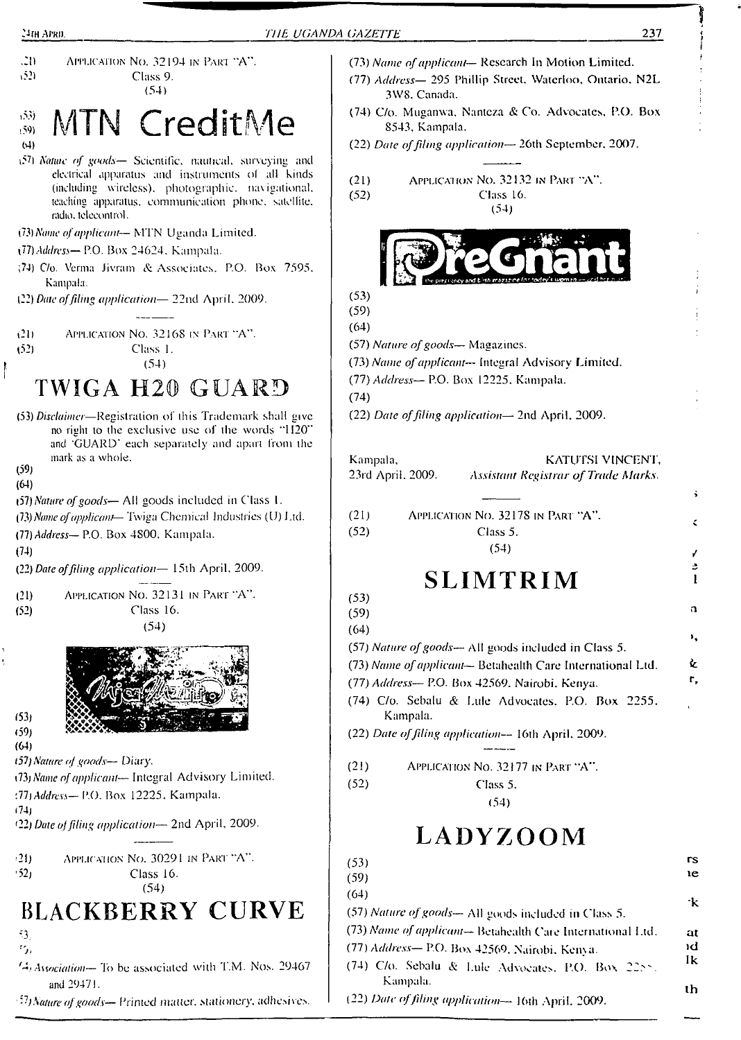

# S MTN CreditMe (4)

- \?7) *Nature of goods—* Scientific. naulical. surveying and electrical apparatus and instruments ol all kinds (including wireless), photographic, navigational, leaching apparatus, communication phone, satellite, radio, telecontrol.
- *CD) Name ofapplicant—* MTN Uganda Limited.
- *\11) Address—* P.O. Box 24624. Kampala.
- ;74) C/o. Verma Jivram & Associates. P.O. Box 7595. Kampala.
- (22) *Date offiling application—* 22nd April. 2009.

t2l) Application No. 32168 in Part "A". (52) Class 1. (54)

# TWIGA H20 GUARD

(53) *Disclaimer—*Registration of this Trademark shall give no right to the exclusive use of the words "H20" and 'GUARD' each separately and apart from the mark as a whole.

(59)

(64)

- (57) *Nature ofgoods—* All goods included in Class 1.
- *{Tty Name ofapplicant—* Twiga Chemical Industries (U) J.id.

(77) *Address—* P.O. Box 4800, Kampala.

(74)

(22) *Date offiling application—* 15th April. 2009.

| (21) | APPLICATION NO. 32131 IN PART "A". |
|------|------------------------------------|
| (52) | Class 16.                          |
|      | (54)                               |



 $(53)$  $(59)$ (64)

- *(51)Nature of goads— Diary.*
- *\13) Name ofapplicant—* Integral Advisory Limited.
- *'.Th Address—* P.O. Box 12225. Kampala.
- (74)

*t22) Date offiling application—* 2nd April, 2009.

| (21) | APPLICATION NO. 30291 IN PART "A". |
|------|------------------------------------|
| (52) | Class 16.                          |
|      | (54)                               |

# **BLACKBERRY CURVE**

- -3.  $\epsilon_{f_0}$
- 64. *Association—* To be associated with T.M. Nos. 29467 and 29471.
- *'!)Nature ofgoods— Printed* matter, stationery, adhesives.
- (73) *Name ofapplicant—* Research In Motion Limited. (77) *Address—* 295 Phillip Street. Waterloo, Ontario. N2L 3W8. Canada.
- (74) C/o. Muganwa. Nanteza & Co. Advocates, P.O. Box 8543, Kampala.

(22) *Date offiling application—* 26th September. 2007.

(21) Application No. 32132 in Part "A". (52) Class 16. (54)



- (59) (64)
- (57) *Nature ofgoods—* Magazines.
- (73) *Name ofapplicant—* Integral Advisory Limited.
- (77) *Address—*P.O. Box 12225. Kampala.
- (74)
	- (22) *Date offiling application—* 2nd April, 2009.

| Kampala,<br>23rd April. 2009. | KATUTSI VINCENT.<br><b>Assistant Registrar of Trade Marks.</b>                                                    |
|-------------------------------|-------------------------------------------------------------------------------------------------------------------|
| (21)                          | APPLICATION NO. 32178 IN PART "A".                                                                                |
| (52)                          | Class 5.                                                                                                          |
|                               | (54)                                                                                                              |
|                               | <b>SLIMTRIM</b>                                                                                                   |
| (53)                          |                                                                                                                   |
| (59)                          |                                                                                                                   |
| (64)                          |                                                                                                                   |
|                               | (57) Nature of goods— All goods included in Class 5.<br>(73) Name of applicant-Betahealth Care International Ltd. |
|                               | (77) Address- P.O. Box 42569, Nairobi, Kenya.                                                                     |
| Kampala.                      | (74) C/o. Sebalu & Lule Advocates, P.O. Box 2255.                                                                 |
|                               | (22) Date of filing application-- 16th April, 2009.                                                               |
| (21)                          | APPLICATION No. 32177 IN PART "A".                                                                                |
| (52)                          | Class 5.                                                                                                          |
|                               | (54)                                                                                                              |
|                               | LADYZOOM                                                                                                          |
| (53)                          |                                                                                                                   |
| (59)                          |                                                                                                                   |
| (64)                          |                                                                                                                   |
|                               | (57) Nature of goods-All goods included in Class 5.                                                               |
|                               | (73) Name of applicant-Betahealth Care International Ltd.                                                         |
|                               | (77) Address-P.O. Box 42569, Nairobi, Kenya.                                                                      |
| Kampala.                      | (74) C/o. Sebalu & Lule Advocates, P.O. Box 2255.                                                                 |
|                               | (22) Date of filing application-> 16th April, 2009.                                                               |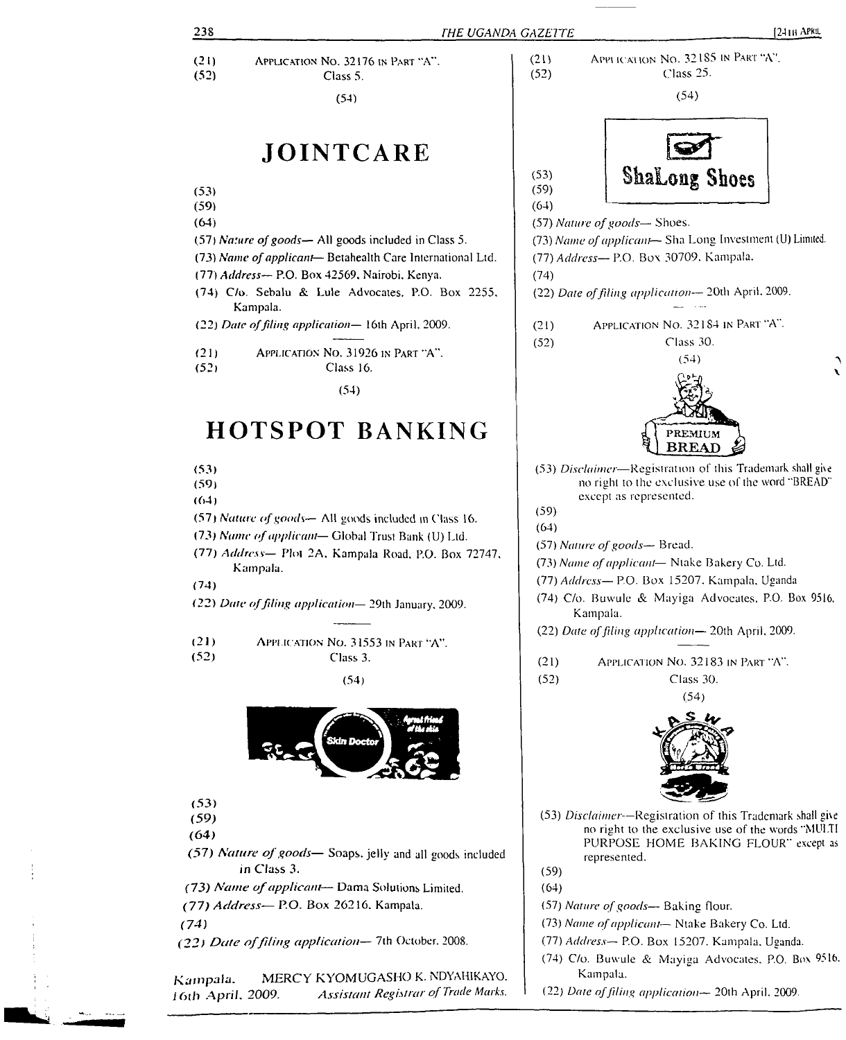| 238          | THE UGANDA GAZETTE                                                                                         | $[241B$ APRIL                                                                                                  |
|--------------|------------------------------------------------------------------------------------------------------------|----------------------------------------------------------------------------------------------------------------|
| (21)         | APPLICATION NO. 32176 IN PART "A".                                                                         | APPLICATION NO. 32185 IN PART "A".<br>(21)                                                                     |
| (52)         | Class 5.                                                                                                   | Class 25.<br>(52)                                                                                              |
|              | (54)                                                                                                       | (54)                                                                                                           |
|              | JOINTCARE                                                                                                  | <b>Shalong Shoes</b><br>(53)                                                                                   |
| (53)<br>(59) |                                                                                                            | (59)<br>(64)                                                                                                   |
| (64)         |                                                                                                            | (57) Nature of goods-Shoes.                                                                                    |
|              | (57) Nature of goods— All goods included in Class 5.                                                       | (73) Name of applicant-Sha Long Investment (U) Limited.                                                        |
|              | (73) Name of applicant-Betahealth Care International Ltd.<br>(77) Address- P.O. Box 42569, Nairobi, Kenya. | (77) Address- P.O. Box 30709. Kampala.<br>(74)                                                                 |
|              | (74) C/o. Sebalu & Lule Advocates. P.O. Box 2255,<br>Kampala.                                              | (22) Date of filing application-- 20th April. 2009.                                                            |
|              | (22) Date of filing application-16th April, 2009.                                                          | APPLICATION NO. 32184 IN PART "A".<br>(21)                                                                     |
| (21)         | APPLICATION NO. 31926 IN PART "A".                                                                         | Class 30.<br>(52)<br>(54)                                                                                      |
| (52)         | Class 16.                                                                                                  |                                                                                                                |
|              | (54)                                                                                                       |                                                                                                                |
|              | <b>HOTSPOT BANKING</b>                                                                                     | PREMIUM<br><b>BREAD</b>                                                                                        |
| (53)<br>(59) |                                                                                                            | (53) Disclaimer-Registration of this Trademark shall give<br>no right to the exclusive use of the word "BREAD" |
| (64)         |                                                                                                            | except as represented.<br>(59)                                                                                 |
|              | (57) Nature of goods— All goods included in Class 16.                                                      | (64)                                                                                                           |
|              | (73) Name of applicant-Global Trust Bank (U) Ltd.                                                          | $(57)$ Nature of goods $-$ Bread.                                                                              |
|              | (77) Address- Plot 2A, Kampala Road, P.O. Box 72747,                                                       | (73) Name of applicant- Ntake Bakery Co. Ltd.                                                                  |
| (74)         | Kampala.                                                                                                   | (77) Address- P.O. Box 15207. Kampala, Uganda                                                                  |
|              | (22) Date of filing application-29th January, 2009.                                                        | (74) C/o. Buwule & Mayiga Advocates, P.O. Box 9516,<br>Kampala.                                                |
| (21)         | APPLICATION No. 31553 IN PART "A".                                                                         | (22) Date of filing application-20th April, 2009.                                                              |
| (52)         | Class 3.                                                                                                   | APPLICATION NO. 32183 IN PART "A".<br>(21)                                                                     |
|              | (54)                                                                                                       | (52)<br>Class 30.                                                                                              |
|              |                                                                                                            | (54)                                                                                                           |
|              | Skin Doctor                                                                                                |                                                                                                                |
| (53)<br>(59) |                                                                                                            | (53) Disclaimer--Registration of this Trademark shall give                                                     |
| (64)         |                                                                                                            | no right to the exclusive use of the words "MULTI                                                              |
|              | (57) Nature of goods-Soaps, jelly and all goods included<br>in Class 3.                                    | PURPOSE HOME BAKING FLOUR" except as<br>represented.<br>(59)                                                   |
|              | (73) Name of applicant- Dama Solutions Limited.                                                            | (64)                                                                                                           |
|              | (77) Address- P.O. Box 26216. Kampala.                                                                     | (57) Nature of goods-- Baking flour.                                                                           |
| (74)         |                                                                                                            | (73) Name of applicant- Ntake Bakery Co. Ltd.                                                                  |
|              | (22) Date of filing application-7th October. 2008.                                                         | (77) Address- P.O. Box 15207. Kampala, Uganda.                                                                 |
|              |                                                                                                            | (74) C/o. Buwule & Mayiga Advocates, P.O. Box 9516.                                                            |
| Kampala.     | MERCY KYOMUGASHO K. NDYAHIKAYO.<br>Assistant Registrar of Trade Marks.<br>16th April, 2009.                | Kampala.<br>(22) Date of filing application-20th April. 2009.                                                  |

 $\begin{array}{c} 1 \\ 1 \\ 1 \end{array}$ 

 $\frac{1}{4}$  )

м., "  $-\frac{1}{2}$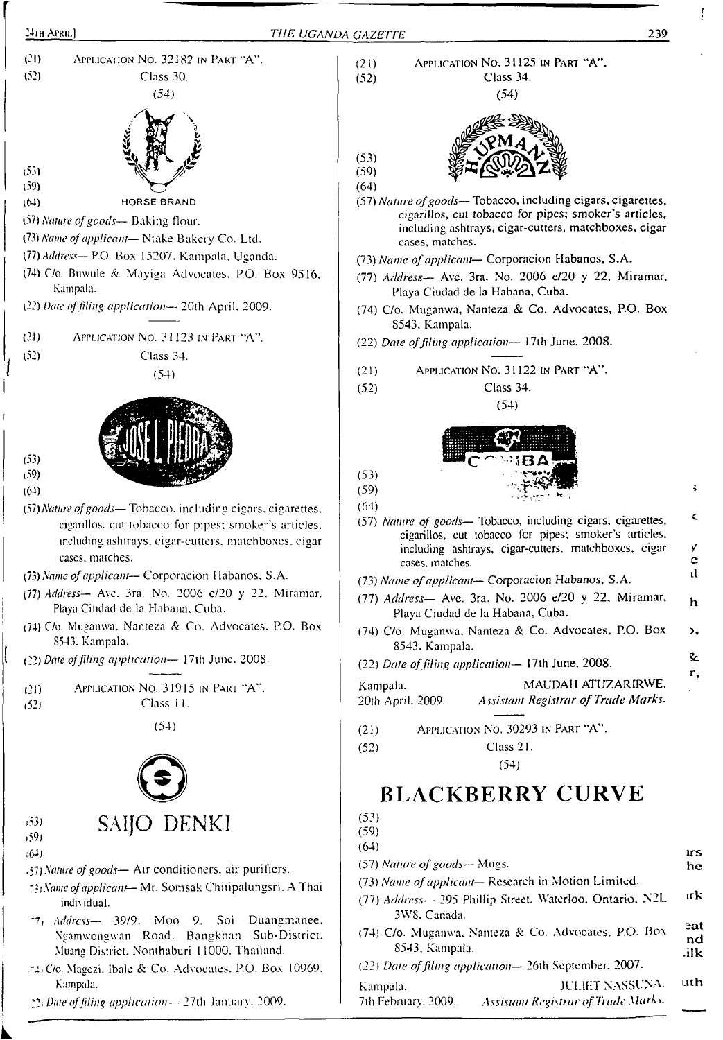

Kampala. 2?; *Date offding application—* 27th January. 2009.

7th February. 2009. *Assistant Registrar ofTrade Marks.*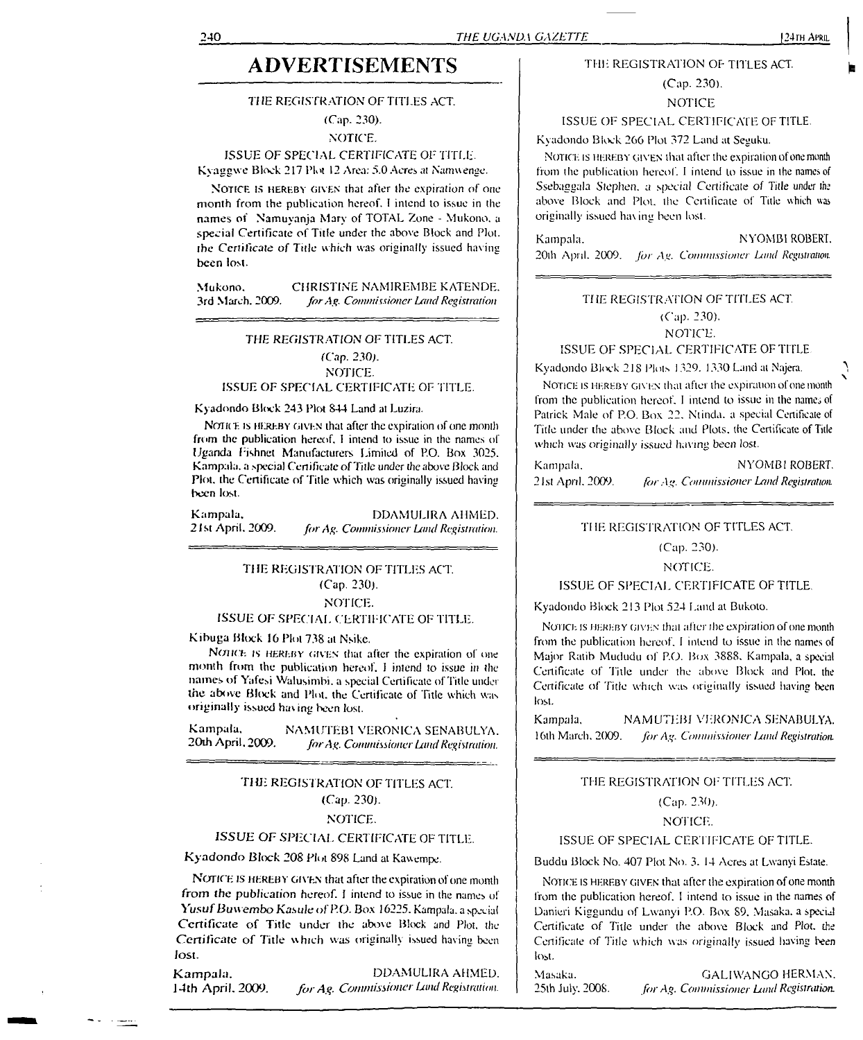## **ADVERTISEMENTS**

#### 77 *IE* REGISTRATION OF TITLES ACT.

(Cap. 230).

NOTICE.

#### ISSUE OF SPECIAL CERTIFICATE OF TITLE. Kyaggwe Block 217 Plot 12 Area: 5.0 Acres at Namwenge.

NOTICE IS HEREBY GIVEN that after the expiration of one month from the publication hereof. <sup>I</sup> intend to issue in the names of Namuyanja Mary of TOTAL Zone - Mukono. a special Certificate of Title under the above Block and Plot, the Certificate *of* Tide which was originally issued having been lost.

Mukono. CHRISTINE NAMIREMBE KATENDE.<br>3rd March. 2009. for Ag. Commissioner Land Registration 3rd March. 2009. *forAg. Commissioner Land Registration*

#### *THE REGISTRATION OF* TITLES ACT.

(Cap. 230). NOTICE. ISSUE OF SPECIAL CERTIFICATE OF TITLE.

#### Kyadondo Block 243 Plot 844 Land al Luzira.

NOTICE IS HEREBY GIVEN that after the expiration of one month from die publication hereof. <sup>I</sup> intend to issue in the names of Uganda Fishnet Manufacturers Limited of P.O. Box 3025. Kampala, a special Certificate of Title under the above Block and Plot, the Certificate of Title which was originally issued having been lost.

| Kampala,           | DDAMULIRA AHMED.                        |
|--------------------|-----------------------------------------|
| -21st April, 2009. | for Ag. Commissioner Land Registration. |

#### THE REGISTRATION OF TITLES ACT. (Cap. 230). NOTICE.

#### ISSUE OF SPECIAL CERTIFICATE OF TITLE.

Kibuga Block 16 Plot 738 at Nsike.

NOHCE IS HEREBY GIVEN that after the expiration of one month from the publication hereof. <sup>1</sup> intend to issue in the names of Yafesi Walusimbi, a special Certificate of Title under the above Block and Plot, the Certificate of Tide which was originally issued having been lost.

Kampala, NAMUTEBI VERONICA SENABULYA.<br>20th April, 2009. *for Av. Commissioner Land Registration* 20th April. 2009. *forAg. Commissioner LandRegistration.*

#### *THE* REGISTRATION OF TITLES ACT. (Cap. 230). NOTICE.

#### *ISSUE OF* SPECIAL CERTIFICATE OF TITLE.

Kyadondo Block 208 Plot 898 Land al Kawempe.

NOTICE IS HEREBY GIVEN that after the expiration of one month from *the* publication hereof. <sup>I</sup> intend to issue in the names of Yusuf *Buwembo Kasule* of *P.O.* Box 16225. Kampala, a special Certificate of Title under the above Block and Plot, the Certificate of Title which was originally issued having been lost.

Kampala. DDAMULIRA AHMED. 14th April. 2009. *forAg. Commissioner Land Registration.*

#### THE REGISTRATION OF TITLES ACT.

# (Cap. 230).

**NOTICE** 

ISSUE OF SPECIAL CERTIFICATE OF TITLE.

Kyadondo Block 266 Plot 372 Land at Seguku.

NOTICE IS HEREBY GIVEN that after the expiration of one month from the publication hereof. <sup>I</sup> intend to issue in the names of Ssebaggala Stephen, a special Certificate of Title under the above Block and Plot, the Certificate of Title which was originally issued having been lost.

| Kampala. | NYOMBI ROBERT.                                            |
|----------|-----------------------------------------------------------|
|          | 20th April, 2009. for Ag. Commissioner Land Registration. |

#### THE REGISTRATION OF TITLES ACT.

#### (Cap. 230).

#### NOTICE. ISSUE OF SPECIAL CERTIFICATE OF TITLE

Kyadondo Block 218 Plots 1329. 1330 Land at Najera.

NOTICE IS HEREBY GIVEN that after the expiration of one month from the publication hereof. I intend to issue in the names of Patrick Male of P.O. Box 22, Ntinda. a special Certificate of Title under the above Block and Plots, the Certificate of Title which was originally issued having been lost.

Kampala. NYOMBI ROBERT. 21st April. 2009. *for*.4". *Commissioner Land Registration.*

#### THE REGISTRATION OF TITLES ACT.

#### (Cap. 230).

#### NOTICE.

#### ISSUE OF SPECIAL CERTIFICATE OF TITLE.

Kyadondo Block 213 Plot 524 Land at Bukolo.

Notice is hereby GIVEN that after ibe expiration of one month from the publication hereof. <sup>I</sup> intend to issue in the names of Major Ratib Mududu of P.O. Box 3888. Kampala, a special Certificate of 'Title under the above Block and Plot, the Certificate of Title which was originally issued having been lost.

Kampala. NAMUTEBI VERONICA SENABULYA. 16th March. 2009. *for Ag. Commissioner Land Registration.* 

#### THE REGISTRATION OF TITLES ACT.

#### (Cap. 230).

NOTICE.

#### ISSUE OF SPECIAL CERTIFICATE OF TITLE.

Buddu Block No. 407 Plot No. 3. 14 Acres at Lwanyi Estate.

NOTICE IS HEREBY GIVEN that after the expiration of one month from the publication hereof. <sup>I</sup> intend to issue in the names of Danieri Kiggundu of Lwanyi P.O. Box 89, Masaka, a special Certificate of Title under the above Block and Plot, the Certificate of Title which was originally issued having been lost.

Masaka. GALIWANGO HERMAN. 25th July. 2008. *forAg. Commissioner Lund Registration.*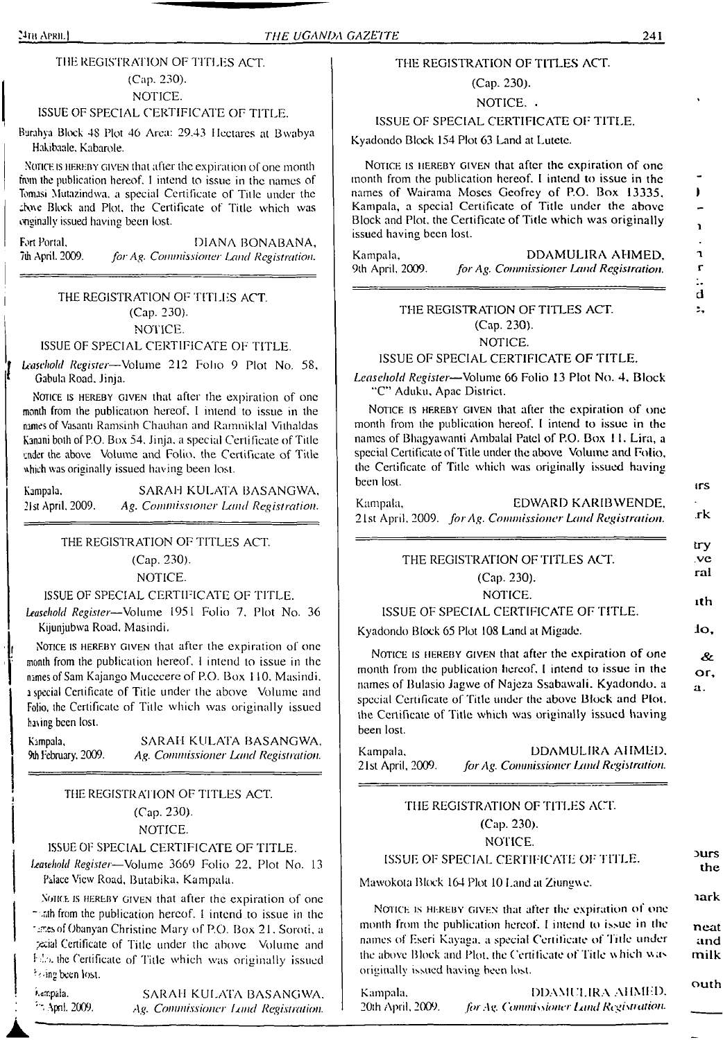#### ISSUE OF SPECIAL CERTIFICATE OF TITLE.

Burahya Block 48 Plot 46 Area: 29.43 Hectares at Bwabya Hakibaale, Kabarole.

<sup>N</sup>otice is hereby given that after the expiration of one month from the publication hereof. <sup>I</sup> intend to issue in the names of Tomasi Mutazindwa, a special Certificate of Title under the ;bo\e Block and Plot, the Certificate of Title which was onginally issued having been lost.

Fort Portal, **DIANA BONABANA**, **7th April.** 2009. *for Ag. Commissioner Land Registration.* 7th April. 2009. *for Ag. Commissioner Land Registration.*

> THE REGISTRATION OF TITLES ACT. (Cap. 230). NOTICE.

#### ISSUE OF SPECIAL CERTIFICATE OF TITLE.

*Leasehold Register—*Volume 212 Folio 9 Plot No. 58, Gabula Road. Jinja.

NOTICE IS HEREBY GIVEN that after the expiration of one month from the publication hereof. <sup>I</sup> intend to issue in the names of Vasanti Ramsinh Chauhan and Ramniklal Vilhaldas Kanani both of P.O. Box 54, Jinja. a special Certificate of Title under the above Volume and Folio, the Certificate of Title uhieh was originally issued having been lost.

Kampala. SARAH KULATA BASANGWA. 21st April, 2009. *Ag. Commissioner Land Registration.*

#### THE REGISTRATION OF TITLES ACT.

(Cap. 230).

NOTICE.

#### ISSUE OF SPECIAL CERTIFICATE OF TITLE.

*Leasehold Register—*Volume 1951 Folio 7. Plot No. 36 Kijunjubwa Road, Masindi.

NOTICE IS HEREBY GIVEN that after the expiration of one month from the publication hereof, <sup>I</sup> intend to issue in the names of Sam Kajango Mucecere of P.O. Box 110. Masindi, <sup>a</sup> special Certificate of Title under the above Volume and Folio, the Certificate of Title which was originally issued haring been lost.

Kampala, SARAH KULATA BASANGWA,<br>9th February, 2009. Ag. Commissioner Land Registration. 9th February, 2009. *Ag. Commissioner Land Registration.*

### THE REGISTRATION OF TITLES ACT. (Cap. 230).

NOTICE.

#### ISSUE OF SPECIAL CERTIFICATE OF TITLE.

*Leasehold Register—*Volume 3669 Folio 22, Plot No. <sup>13</sup> Palace View Road, Butabika. Kampala.

Notice is HEREBY GIVEN that after the expiration of one <sup>~</sup> .nth from the publication hereof. <sup>I</sup> intend to issue in the tares of Obanyan Christine Mary of P.O. Box 21, Soroti, a /xial Certificate of Title under the above Volume and I-the Certificate of Title which was originally issued being been lost.

k«mpala. April. 2009.

SARAH KULATA BASANGWA. *Ag. Commissioner limd Registration.*

#### THE REGISTRATION OF TITLES ACT

(Cap. 230). NOTICE. .

#### ISSUE OF SPECIAL CERTIFICATE OF TITLE.

Kyadondo Block 154 Plot 63 Land at Lutetc.

NOTICE IS HEREBY GIVEN that after the expiration of one month from the publication hereof. <sup>I</sup> intend to issue in the names of Wairama Moses Geofrey of P.O. Box 13335, Kampala, a special Certificate of Title under the above Block and Plot, the Certificate of Title which was originally <sup>1</sup> issued having been lost.

Exampala, **Nampala, Sampala, Prime Additional DDAMULIRA AHMED,** 1984.<br>9th April, 2009. *for Ag. Commissioner Land Registration*. F 9th April, 2009. *for Ag. Commissioner hmd Registration. r*

#### THE REGISTRATION OF TITLES ACT. (Cap. 230). NOTICE.

#### ISSUE OF SPECIAL CERTIFICATE OF TITLE.

*Leasehold Register—*Volume 66 Folio 13 Plot No. 4, Block "C" Aduku, Apac District.

NOTICE IS HEREBY GIVEN that after the expiration of one month from the publication hereof. <sup>I</sup> intend to issue in the names of Bhagyawanti Ambalal Patel of P.O. Box 11. Lira, a special Certificate of Title under the above Volume and Folio, the Certificate of Title which was originally issued having been lost. **just a** lost and the set of the set of the set of the set of the set of the set of the set of the set of the set of the set of the set of the set of the set of the set of the set of the set of the set of the se

| Kampala, | EDWARD KARIBWENDE,                                          |     |
|----------|-------------------------------------------------------------|-----|
|          | 21st April, 2009. – for Ag. Commissioner Land Registration. | .rk |

|                                        | tΓY        |
|----------------------------------------|------------|
| THE REGISTRATION OF TITLES ACT.        | .ve<br>ral |
| $(Cap. 230)$ .                         |            |
| NOTICE.                                | ith        |
| ISSUE OF SPECIAL CERTIFICATE OF TITLE. |            |

Kyadondo Block 65 Plot 108 Land at Migade. **10,** 

NOTICE IS HEREBY GIVEN that after the expiration of one month from the publication hereof. <sup>I</sup> intend to issue in the names of Bulasio Jagwe of Najeza Ssabawali. Kyadondo. a special Certificate of Title under the above Block and Plot, the Certificate of Title which was originally issued having been lost.

Kampala, BDAMULIRA AHMED, DDAMULIRA AHMED, 21st April, 2009. for Ag. Commissioner Land Registration. <sup>21</sup> st April, 2009. *forAg. CommissionerIjmd Registration.*

#### THE REGISTRATION OF TITLES ACT. (Cap. 230). NOTICE.

#### ISSUE OF SPECIAL CERTIFICATE OF TITLE. <sup>Durs</sup>

Mawokota Block 164 Plot 10 Land at Ziungwc.

NOTICE IS HEREBY GIVEN that after the expiration of one month from the publication hereof. **<sup>I</sup>** intend to issue in the **neat** names of Eseri Kayaga. a special Certificate of Title under **and** the above Block and Plot, the Certificate of Title which was milk originally issued having been lost.

Kampala. DDAMULIRA AHMED. Outh 20th April. 2009. *forAg. Commissioner Dmd Registration.*

**the**

**&** or,  $\mathbf{a}$ .

**lark**

**d**

÷.